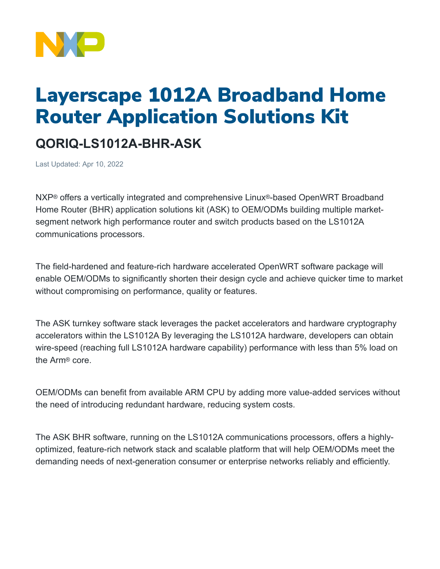

## Layerscape 1012A Broadband Home Router Application Solutions Kit

## **QORIQ-LS1012A-BHR-ASK**

Last Updated: Apr 10, 2022

NXP® offers a vertically integrated and comprehensive Linux®-based OpenWRT Broadband Home Router (BHR) application solutions kit (ASK) to OEM/ODMs building multiple marketsegment network high performance router and switch products based on the LS1012A communications processors.

The field-hardened and feature-rich hardware accelerated OpenWRT software package will enable OEM/ODMs to significantly shorten their design cycle and achieve quicker time to market without compromising on performance, quality or features.

The ASK turnkey software stack leverages the packet accelerators and hardware cryptography accelerators within the LS1012A By leveraging the LS1012A hardware, developers can obtain wire-speed (reaching full LS1012A hardware capability) performance with less than 5% load on the Arm® core.

OEM/ODMs can benefit from available ARM CPU by adding more value-added services without the need of introducing redundant hardware, reducing system costs.

The ASK BHR software, running on the LS1012A communications processors, offers a highlyoptimized, feature-rich network stack and scalable platform that will help OEM/ODMs meet the demanding needs of next-generation consumer or enterprise networks reliably and efficiently.